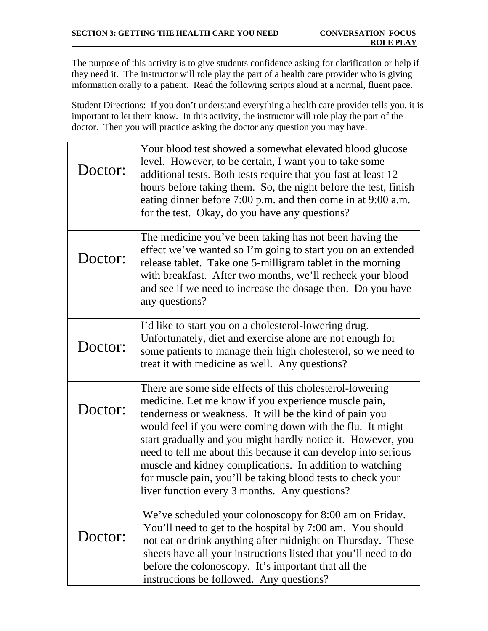The purpose of this activity is to give students confidence asking for clarification or help if they need it. The instructor will role play the part of a health care provider who is giving information orally to a patient. Read the following scripts aloud at a normal, fluent pace.

Student Directions: If you don't understand everything a health care provider tells you, it is important to let them know. In this activity, the instructor will role play the part of the doctor. Then you will practice asking the doctor any question you may have.

| Doctor: | Your blood test showed a somewhat elevated blood glucose<br>level. However, to be certain, I want you to take some<br>additional tests. Both tests require that you fast at least 12<br>hours before taking them. So, the night before the test, finish<br>eating dinner before 7:00 p.m. and then come in at 9:00 a.m.<br>for the test. Okay, do you have any questions?                                                                                                                                                                              |
|---------|--------------------------------------------------------------------------------------------------------------------------------------------------------------------------------------------------------------------------------------------------------------------------------------------------------------------------------------------------------------------------------------------------------------------------------------------------------------------------------------------------------------------------------------------------------|
| Doctor: | The medicine you've been taking has not been having the<br>effect we've wanted so I'm going to start you on an extended<br>release tablet. Take one 5-milligram tablet in the morning<br>with breakfast. After two months, we'll recheck your blood<br>and see if we need to increase the dosage then. Do you have<br>any questions?                                                                                                                                                                                                                   |
| Doctor: | I'd like to start you on a cholesterol-lowering drug.<br>Unfortunately, diet and exercise alone are not enough for<br>some patients to manage their high cholesterol, so we need to<br>treat it with medicine as well. Any questions?                                                                                                                                                                                                                                                                                                                  |
| Doctor: | There are some side effects of this cholesterol-lowering<br>medicine. Let me know if you experience muscle pain,<br>tenderness or weakness. It will be the kind of pain you<br>would feel if you were coming down with the flu. It might<br>start gradually and you might hardly notice it. However, you<br>need to tell me about this because it can develop into serious<br>muscle and kidney complications. In addition to watching<br>for muscle pain, you'll be taking blood tests to check your<br>liver function every 3 months. Any questions? |
| Doctor: | We've scheduled your colonoscopy for 8:00 am on Friday.<br>You'll need to get to the hospital by 7:00 am. You should<br>not eat or drink anything after midnight on Thursday. These<br>sheets have all your instructions listed that you'll need to do<br>before the colonoscopy. It's important that all the<br>instructions be followed. Any questions?                                                                                                                                                                                              |